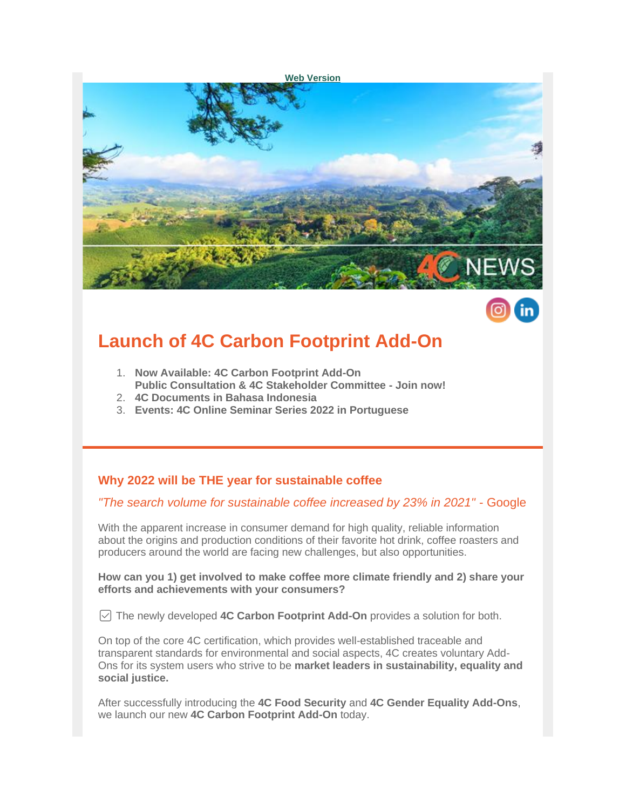



# **Launch of 4C Carbon Footprint Add-On**

- 1. **Now Available: 4C Carbon Footprint Add-On Public Consultation & 4C Stakeholder Committee - Join now!**
- 
- 2. **4C Documents in Bahasa Indonesia**
- 3. **Events: 4C Online Seminar Series 2022 in Portuguese**

# **Why 2022 will be THE year for sustainable coffee**

#### *"The search volume for sustainable coffee increased by 23% in 2021"* - Google

With the apparent increase in consumer demand for high quality, reliable information about the origins and production conditions of their favorite hot drink, coffee roasters and producers around the world are facing new challenges, but also opportunities.

**How can you 1) get involved to make coffee more climate friendly and 2) share your efforts and achievements with your consumers?**

✅ The newly developed **4C Carbon Footprint Add-On** provides a solution for both.

On top of the core 4C certification, which provides well-established traceable and transparent standards for environmental and social aspects, 4C creates voluntary Add-Ons for its system users who strive to be **market leaders in sustainability, equality and social justice.**

After successfully introducing the **4C Food Security** and **4C Gender Equality Add-Ons**, we launch our new **4C Carbon Footprint Add-On** today.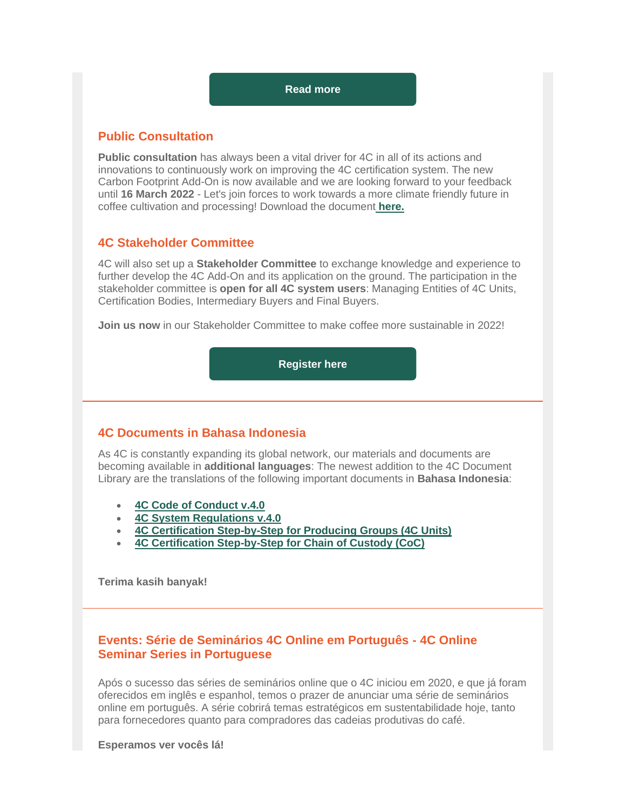#### **[Read more](https://amxe.net/io0aec4n-5al0rhw6-6b13qtrm-vah)**

#### **Public Consultation**

**Public consultation** has always been a vital driver for 4C in all of its actions and innovations to continuously work on improving the 4C certification system. The new Carbon Footprint Add-On is now available and we are looking forward to your feedback until **16 March 2022** - Let's join forces to work towards a more climate friendly future in coffee cultivation and processing! Download the document **[here.](https://amxe.net/io0aec4n-5al0rhw6-95oekegn-lq1)**

#### **4C Stakeholder Committee**

4C will also set up a **Stakeholder Committee** to exchange knowledge and experience to further develop the 4C Add-On and its application on the ground. The participation in the stakeholder committee is **open for all 4C system users**: Managing Entities of 4C Units, Certification Bodies, Intermediary Buyers and Final Buyers.

**Join us now** in our Stakeholder Committee to make coffee more sustainable in 2022!

**[Register here](https://amxe.net/io0aec4n-5al0rhw6-bgi8dtua-1xs)**

#### **4C Documents in Bahasa Indonesia**

As 4C is constantly expanding its global network, our materials and documents are becoming available in **additional languages**: The newest addition to the 4C Document Library are the translations of the following important documents in **Bahasa Indonesia**:

- **[4C Code of Conduct v.4.0](https://amxe.net/io0aec4n-5al0rhw6-fqggmjhj-1bh3)**
- **[4C System Regulations v.4.0](https://amxe.net/io0aec4n-5al0rhw6-jwcz5spy-17s6)**
- **4C Certification [Step-by-Step for Producing Groups \(4C Units\)](https://amxe.net/io0aec4n-5al0rhw6-mdflph37-d99)**
- **[4C Certification Step-by-Step for Chain of Custody \(CoC\)](https://amxe.net/io0aec4n-5al0rhw6-os7k7t9j-unj)**

**Terima kasih banyak!**

## **Events: Série de Seminários 4C Online em Português - 4C Online Seminar Series in Portuguese**

Após o sucesso das séries de seminários online que o 4C iniciou em 2020, e que já foram oferecidos em inglês e espanhol, temos o prazer de anunciar uma série de seminários online em português. A série cobrirá temas estratégicos em sustentabilidade hoje, tanto para fornecedores quanto para compradores das cadeias produtivas do café.

**Esperamos ver vocês lá!**